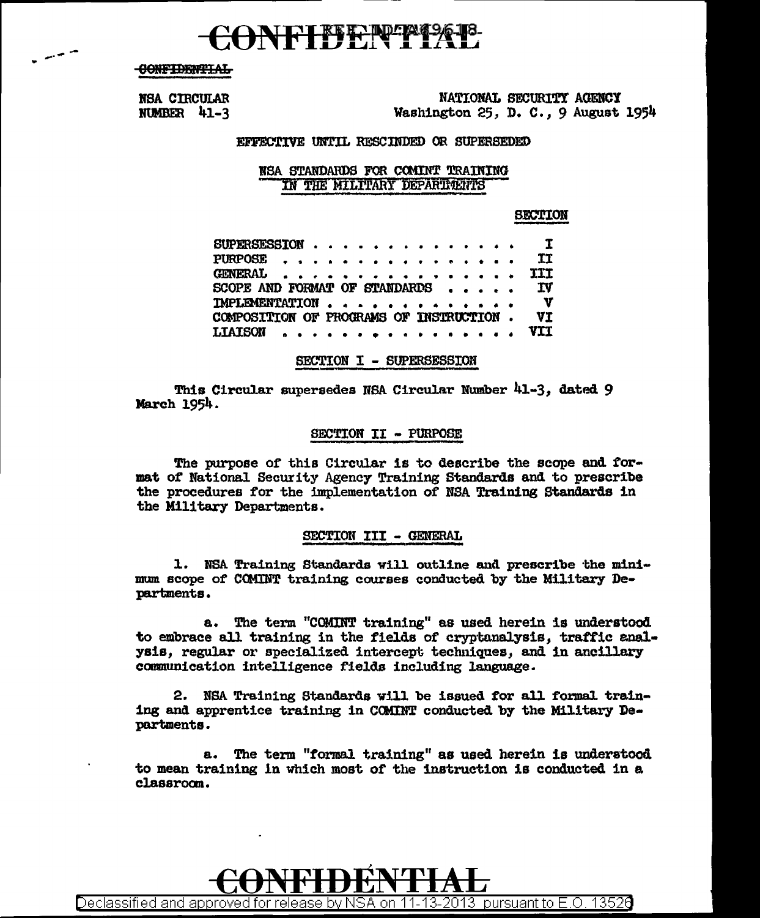## IFTFFFFF

**CONFIDENTIAL** 

 $\rightarrow$ 

NSA CIRCULAR NUMBER 41-3

NATIONAL SECURITY AGENCY Washington 25, D. C., 9 August 1954

#### EFFECTIVE UNTIL RESCINDED OR SUPERSEDED

#### NSA STANDARDS FOR COMINT TRAINING IN THE MILITARY DEPARTMENTS

#### **SECTION**

| SUPERSESSION                                              |  | $\mathbf{I}$      |
|-----------------------------------------------------------|--|-------------------|
| PURPOSE                                                   |  | <b>TT</b>         |
| GENERAL III                                               |  |                   |
| SCOPE AND FORMAT OF STANDARDS                             |  | <b>IV</b>         |
| IMPLEMENTATION<br>COMPOSITION OF PROGRAMS OF INSTRUCTION. |  | $\mathbf v$<br>VI |
| LIAISON , , , , , , , , , , , , , , , , VII               |  |                   |
|                                                           |  |                   |

#### SECTION I - SUPERSESSION

This Circular supersedes NSA Circular Number 41-3, dated 9 March 1954.

#### SECTION II - PURPOSE

The purpose of this Circular is to describe the scope and format of National Security Agency Training Standards and to prescribe the procedures for the implementation of NSA Training Standards in the Military Departments.

#### SECTION III - GENERAL

1. NSA Training Standards will outline and prescribe the minimum scope of COMINT training courses conducted by the Military Departments.

a. The term "COMINT training" as used herein is understood to embrace all training in the fields of cryptanalysis, traffic analysis, regular or specialized intercept techniques, and in ancillary communication intelligence fields including language.

2. NSA Training Standards will be issued for all formal training and apprentice training in COMINT conducted by the Military Departments.

a. The term "formal training" as used herein is understood to mean training in which most of the instruction is conducted in a classroom.

Declassified and approved for release by NSA on 11-13-2013  $\,$  pursuant to E.O. 1352 $\theta$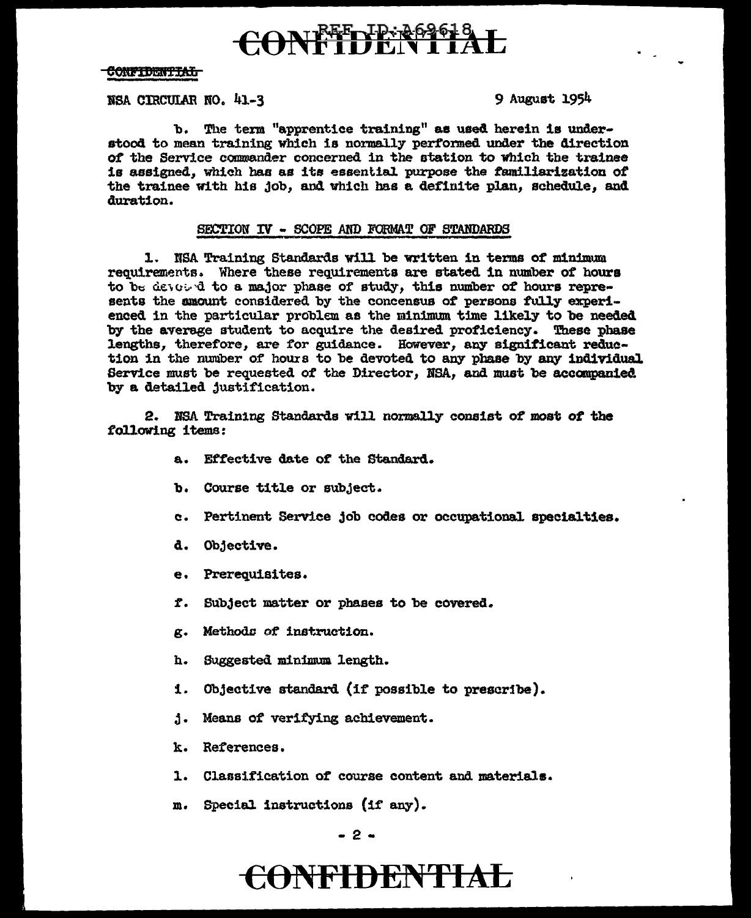# CONFILENTIAL

### <del>Confidential</del>

### NSA CIRCULAR NO. 41-3

9 August 1954

b. The term "apprentice training" as used herein is understood to mean training which is normally performed under the direction of the Service commander concerned in the station to which the trainee is assigned, which has as its essential purpose the familiarization of the trainee with his job, and which has a definite plan, schedule, and duration.

### SECTION IV - SCOPE AND FORMAT OF STANDARDS

1. NSA Training Standards will be written in terms of minimum requirements. Where these requirements are stated in number of hours to be devoted to a major phase of study, this number of hours represents the amount considered by the concensus of persons fully experienced in the particular problem as the minimum time likely to be needed by the average student to acquire the desired proficiency. These phase lengths, therefore, are for guidance. However, any significant reduction in the number of hours to be devoted to any phase by any individual Service must be requested of the Director, NSA, and must be accompanied by a detailed justification.

2. NSA Training Standards will normally consist of most of the following items:

- a. Effective date of the Standard.
- b. Course title or subject.
- c. Pertinent Service job codes or occupational specialties.
- d. Objective.
- e. Prerequisites.
- f. Subject matter or phases to be covered.
- g. Methods of instruction.
- h. Suggested minimum length.
- 1. Objective standard (if possible to prescribe).
- j. Means of verifying achievement.
- k. References.
- 1. Classification of course content and materials.
- m. Special instructions (if any).

# **CONFIDENTIAL**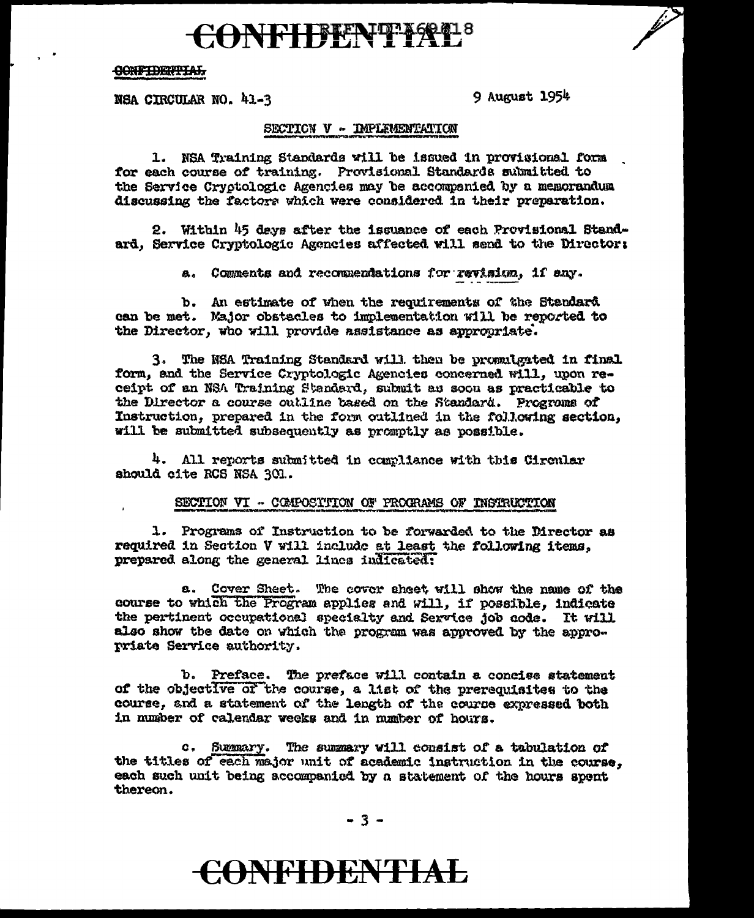## CONFIFENTIAL's

#### **CONFIDENTIAL**

NSA CIRCULAR NO. 41-3

9 August 1954

#### SECTION V - IMPLEMENTATION

1. NSA Training Standards will be issued in provisional form for each course of training. Provisional Standards submitted to the Service Cryptologic Agencies may be accompanied by a memorandum discussing the factors which were considered in their preparation.

2. Within 45 days after the issuance of each Provisional Standard, Service Cryptologic Agencies affected will send to the Director:

a. Comments and recommendations for revision, if any.

b. An estimate of when the requirements of the Standard can be met. Major obstacles to implementation will be reported to the Director, who will provide assistance as appropriate.

3. The NSA Training Standard will then be promulgated in final form, and the Service Cryptologic Agencies concerned will, upon receipt of an NSA Training Standard, submit as soon as practicable to the Director a course outline based on the Standard. Programs of Instruction, prepared in the form outlined in the following section, will be submitted subsequently as promptly as possible.

4. All reports submitted in compliance with this Circular should cite RCS NSA 301.

#### SECTION VI - COMPOSITION OF PROCRAMS OF INSTRUCTION

1. Programs of Instruction to be forwarded to the Director as required in Section V will include at least the following items, prepared along the general lines indicated:

a. Cover Sheet. The cover sheet will show the name of the course to which the Program applies and will, if possible, indicate the pertinent occupational specialty and Service job code. It will also show the date on which the program was approved by the approwriate Service authority.

b. Preface. The preface will contain a concise statement of the objective of the course, a list of the prerequisites to the course, and a statement of the length of the course expressed both in number of calendar weeks and in mumber of hours.

c. Summary. The summary will consist of a tabulation of the titles of each major unit of academic instruction in the course. each such unit being accompanied by a statement of the hours spent thereon.

 $-3-$ 

## **CONFIDENTIAL**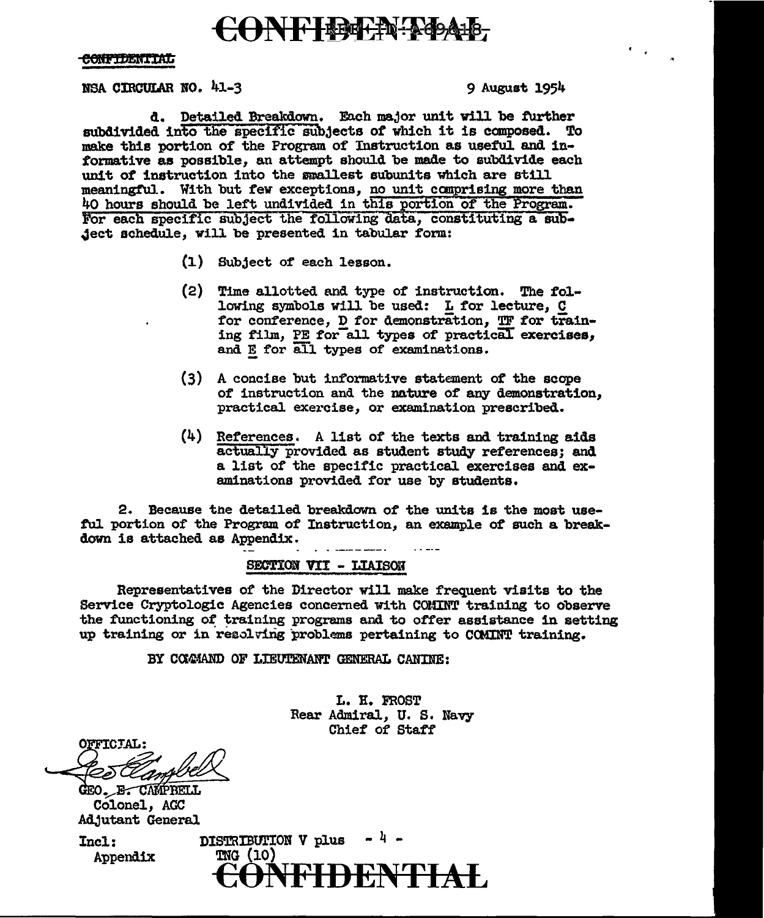## CONFIDERN-ADAIB

#### CONFIDENTIAL

#### BSA CIRCULAR NO. 41-3 9 August 1954

d. Detailed Breakdown. Each major unit will be further subdivided into the specific subjects of which it is composed. To make this portion of the Program of Instruction as useful. and informative as possible, an attempt should be made to subdivide each unit of instruction into the smallest subunits which are still meaningful. With but few exceptions, no unit comprising more than 40 hours should be left undivided in this portion of the Program. For each specific subject the following data, constituting a sub-Ject schedule, will be presented in tabular form:

- (1) Subject of each lesson.
- (2) Time allotted and type of instruction. The fo1 lowing symbols will be used: L for lecture, C for conference, D for demonstration, TF for training film, PE for all types of practical exercises, and E for all types of examinations.
- (3) A concise but informative statement of the scape of instruction and the nature of any demonstration. practical exercise, or examination prescribed.
- $(4)$  References. A list of the texts and training aids actually provided as student study references; and a list of the specific practical exercises and examinations provided for use by students.

2. Because tne detailed breakdown of the units is the most use ful portion of the Program of Instruction, an example of such a breakdown is attached as Appendix.

#### SECTION VII - LIAISON

Representatives of the Director will make frequent visits to the Service Cryptologic Agencies concerned with COMIN'l' training to observe the functioning of training programs and to offer assistance in setting up training or in resoldrig problems pertaining to CCMINT training.

BY COMMAND OF LIEUTENANT GENERAL CANINE:

L. H. FROST Rear Admiral, u. s. Navy Chief of Staff

OFFICIAL:

GEO. B. CAMPBELL Colonel, AGC Adjutant General

 $Inc1:$  DISTRIBUTION V plus  $-4$  -Appendix TNG (10) **FIDENTIAL**